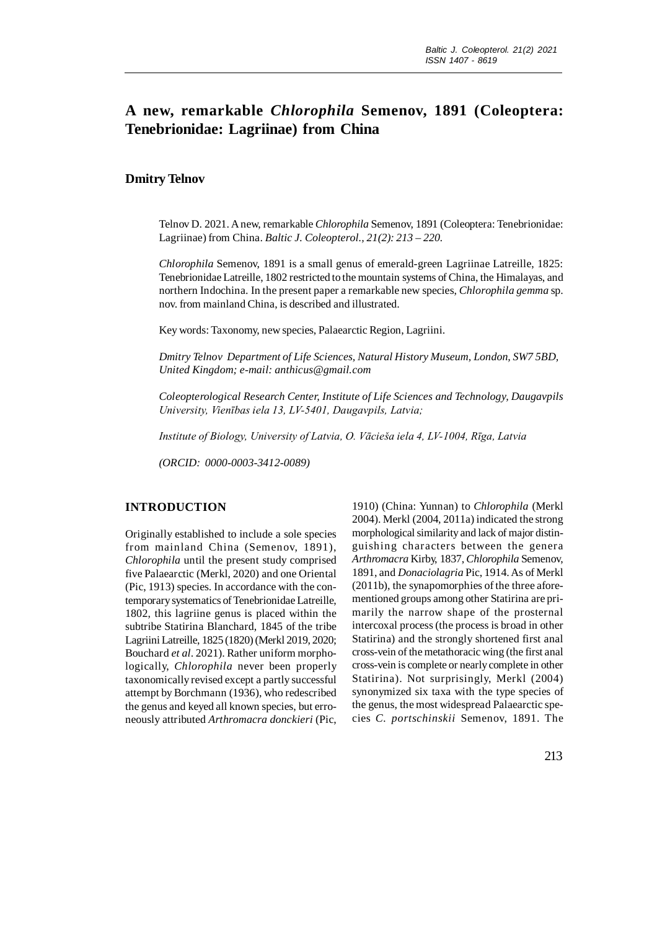# **A new, remarkable** *Chlorophila* **Semenov, 1891 (Coleoptera: Tenebrionidae: Lagriinae) from China**

## **Dmitry Telnov**

Telnov D. 2021. A new, remarkable *Chlorophila* Semenov, 1891 (Coleoptera: Tenebrionidae: Lagriinae) from China. *Baltic J. Coleopterol., 21(2): 213 – 220.*

*Chlorophila* Semenov, 1891 is a small genus of emerald-green Lagriinae Latreille, 1825: Tenebrionidae Latreille, 1802 restricted to the mountain systems of China, the Himalayas, and northern Indochina. In the present paper a remarkable new species, *Chlorophila gemma* sp. nov. from mainland China, is described and illustrated.

Key words: Taxonomy, new species, Palaearctic Region, Lagriini.

*Dmitry Telnov Department of Life Sciences, Natural History Museum, London, SW7 5BD, United Kingdom; e-mail: anthicus@gmail.com*

*Coleopterological Research Center, Institute of Life Sciences and Technology, Daugavpils University, Vienības iela 13, LV-5401, Daugavpils, Latvia;*

*Institute of Biology, University of Latvia, O. Vācieša iela 4, LV-1004, Rīga, Latvia*

*(ORCID: 0000-0003-3412-0089)*

### **INTRODUCTION**

Originally established to include a sole species from mainland China (Semenov, 1891), *Chlorophila* until the present study comprised five Palaearctic (Merkl, 2020) and one Oriental (Pic, 1913) species. In accordance with the contemporary systematics of Tenebrionidae Latreille, 1802, this lagriine genus is placed within the subtribe Statirina Blanchard, 1845 of the tribe Lagriini Latreille, 1825 (1820) (Merkl 2019, 2020; Bouchard *et al*. 2021). Rather uniform morphologically, *Chlorophila* never been properly taxonomically revised except a partly successful attempt by Borchmann (1936), who redescribed the genus and keyed all known species, but erroneously attributed *Arthromacra donckieri* (Pic,

1910) (China: Yunnan) to *Chlorophila* (Merkl 2004). Merkl (2004, 2011a) indicated the strong morphological similarity and lack of major distinguishing characters between the genera *Arthromacra* Kirby, 1837, *Chlorophila* Semenov, 1891, and *Donaciolagria* Pic, 1914. As of Merkl (2011b), the synapomorphies of the three aforementioned groups among other Statirina are primarily the narrow shape of the prosternal intercoxal process (the process is broad in other Statirina) and the strongly shortened first anal cross-vein of the metathoracic wing (the first anal cross-vein is complete or nearly complete in other Statirina). Not surprisingly, Merkl (2004) synonymized six taxa with the type species of the genus, the most widespread Palaearctic species *C. portschinskii* Semenov, 1891. The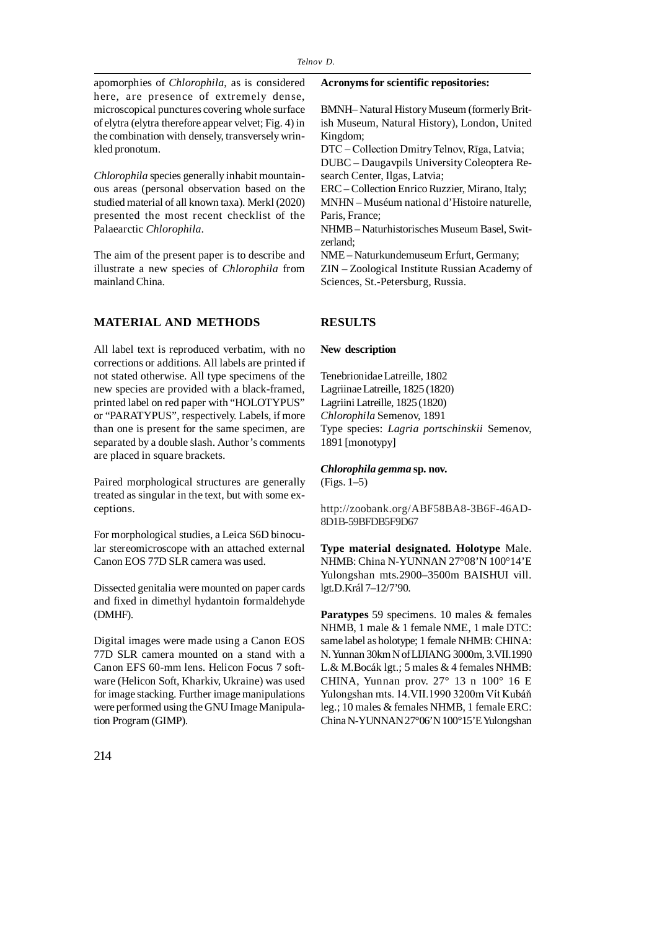apomorphies of *Chlorophila*, as is considered here, are presence of extremely dense, microscopical punctures covering whole surface of elytra (elytra therefore appear velvet; Fig. 4) in the combination with densely, transversely wrinkled pronotum.

*Chlorophila* species generally inhabit mountainous areas (personal observation based on the studied material of all known taxa). Merkl (2020) presented the most recent checklist of the Palaearctic *Chlorophila*.

The aim of the present paper is to describe and illustrate a new species of *Chlorophila* from mainland China.

#### **MATERIAL AND METHODS**

All label text is reproduced verbatim, with no corrections or additions. All labels are printed if not stated otherwise. All type specimens of the new species are provided with a black-framed, printed label on red paper with "HOLOTYPUS" or "PARATYPUS", respectively. Labels, if more than one is present for the same specimen, are separated by a double slash. Author's comments are placed in square brackets.

Paired morphological structures are generally treated as singular in the text, but with some exceptions.

For morphological studies, a Leica S6D binocular stereomicroscope with an attached external Canon EOS 77D SLR camera was used.

Dissected genitalia were mounted on paper cards and fixed in dimethyl hydantoin formaldehyde (DMHF).

Digital images were made using a Canon EOS 77D SLR camera mounted on a stand with a Canon EFS 60-mm lens. Helicon Focus 7 software (Helicon Soft, Kharkiv, Ukraine) was used for image stacking. Further image manipulations were performed using the GNU Image Manipulation Program (GIMP).

#### **Acronyms for scientific repositories:**

BMNH– Natural History Museum (formerly British Museum, Natural History), London, United Kingdom;

DTC – Collection Dmitry Telnov, Rīga, Latvia;

DUBC – Daugavpils University Coleoptera Research Center, Ilgas, Latvia;

ERC – Collection Enrico Ruzzier, Mirano, Italy; MNHN – Muséum national d'Histoire naturelle, Paris, France;

NHMB – Naturhistorisches Museum Basel, Switzerland;

NME – Naturkundemuseum Erfurt, Germany;

ZIN – Zoological Institute Russian Academy of Sciences, St.-Petersburg, Russia.

#### **RESULTS**

#### **New description**

Tenebrionidae Latreille, 1802 Lagriinae Latreille, 1825 (1820) Lagriini Latreille, 1825 (1820) *Chlorophila* Semenov, 1891 Type species: *Lagria portschinskii* Semenov, 1891 [monotypy]

## *Chlorophila gemma* **sp. nov.**

(Figs. 1–5)

http://zoobank.org/ABF58BA8-3B6F-46AD-8D1B-59BFDB5F9D67

**Type material designated. Holotype** Male. NHMB: China N-YUNNAN 27°08'N 100°14'E Yulongshan mts.2900–3500m BAISHUI vill. lgt.D.Král 7–12/7'90.

Paratypes 59 specimens. 10 males & females NHMB, 1 male & 1 female NME, 1 male DTC: same label as holotype; 1 female NHMB: CHINA: N. Yunnan 30km N of LIJIANG 3000m, 3.VII.1990 L.& M.Bocák lgt.; 5 males & 4 females NHMB: CHINA, Yunnan prov. 27° 13 n 100° 16 E Yulongshan mts. 14.VII.1990 3200m Vít Kubáň leg.; 10 males & females NHMB, 1 female ERC: China N-YUNNAN 27°06'N 100°15'E Yulongshan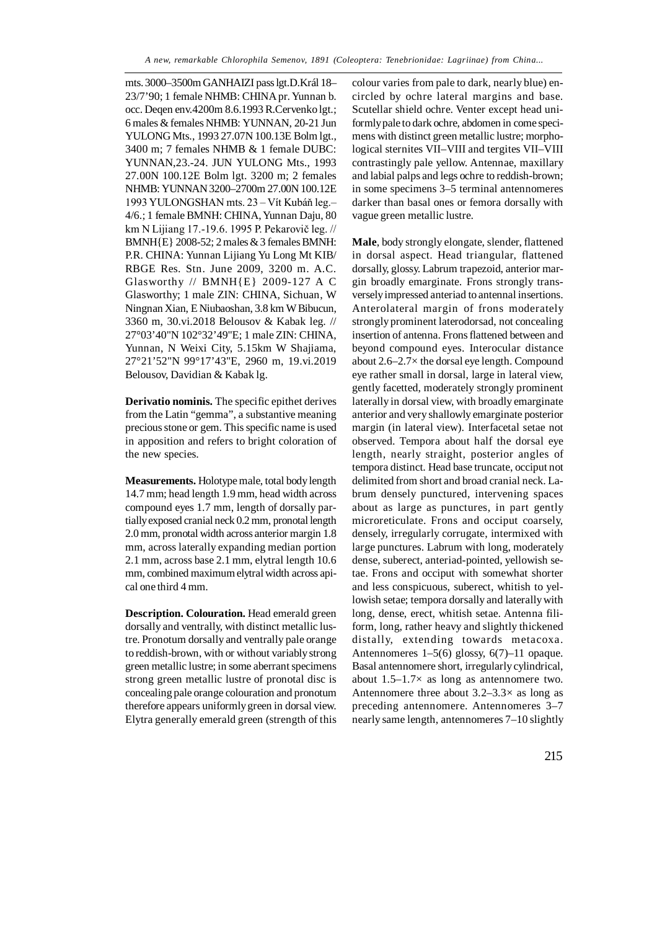mts. 3000–3500m GANHAIZI pass lgt.D.Král 18– 23/7'90; 1 female NHMB: CHINA pr. Yunnan b. occ. Deqen env.4200m 8.6.1993 R.Cervenko lgt.; 6 males & females NHMB: YUNNAN, 20-21 Jun YULONG Mts., 1993 27.07N 100.13E Bolm lgt., 3400 m; 7 females NHMB & 1 female DUBC: YUNNAN,23.-24. JUN YULONG Mts., 1993 27.00N 100.12E Bolm lgt. 3200 m; 2 females NHMB: YUNNAN 3200–2700m 27.00N 100.12E 1993 YULONGSHAN mts. 23 – Vít Kubáň leg.– 4/6.; 1 female BMNH: CHINA, Yunnan Daju, 80 km N Lijiang 17.-19.6. 1995 P. Pekarovič leg. // BMNH{E} 2008-52; 2 males & 3 females BMNH: P.R. CHINA: Yunnan Lijiang Yu Long Mt KIB/ RBGE Res. Stn. June 2009, 3200 m. A.C. Glasworthy // BMNH{E} 2009-127 A C Glasworthy; 1 male ZIN: CHINA, Sichuan, W Ningnan Xian, E Niubaoshan, 3.8 km W Bibucun, 3360 m, 30.vi.2018 Belousov & Kabak leg. // 27°03'40"N 102°32'49"E; 1 male ZIN: CHINA, Yunnan, N Weixi City, 5.15km W Shajiama, 27°21'52"N 99°17'43"E, 2960 m, 19.vi.2019 Belousov, Davidian & Kabak lg.

**Derivatio nominis.** The specific epithet derives from the Latin "gemma", a substantive meaning precious stone or gem. This specific name is used in apposition and refers to bright coloration of the new species.

**Measurements.** Holotype male, total body length 14.7 mm; head length 1.9 mm, head width across compound eyes 1.7 mm, length of dorsally partially exposed cranial neck 0.2 mm, pronotal length 2.0 mm, pronotal width across anterior margin 1.8 mm, across laterally expanding median portion 2.1 mm, across base 2.1 mm, elytral length 10.6 mm, combined maximum elytral width across apical one third 4 mm.

**Description. Colouration.** Head emerald green dorsally and ventrally, with distinct metallic lustre. Pronotum dorsally and ventrally pale orange to reddish-brown, with or without variably strong green metallic lustre; in some aberrant specimens strong green metallic lustre of pronotal disc is concealing pale orange colouration and pronotum therefore appears uniformly green in dorsal view. Elytra generally emerald green (strength of this

colour varies from pale to dark, nearly blue) encircled by ochre lateral margins and base. Scutellar shield ochre. Venter except head uniformly pale to dark ochre, abdomen in come specimens with distinct green metallic lustre; morphological sternites VII–VIII and tergites VII–VIII contrastingly pale yellow. Antennae, maxillary and labial palps and legs ochre to reddish-brown; in some specimens 3–5 terminal antennomeres darker than basal ones or femora dorsally with vague green metallic lustre.

**Male**, body strongly elongate, slender, flattened in dorsal aspect. Head triangular, flattened dorsally, glossy. Labrum trapezoid, anterior margin broadly emarginate. Frons strongly transversely impressed anteriad to antennal insertions. Anterolateral margin of frons moderately strongly prominent laterodorsad, not concealing insertion of antenna. Frons flattened between and beyond compound eyes. Interocular distance about 2.6–2.7× the dorsal eye length. Compound eye rather small in dorsal, large in lateral view, gently facetted, moderately strongly prominent laterally in dorsal view, with broadly emarginate anterior and very shallowly emarginate posterior margin (in lateral view). Interfacetal setae not observed. Tempora about half the dorsal eye length, nearly straight, posterior angles of tempora distinct. Head base truncate, occiput not delimited from short and broad cranial neck. Labrum densely punctured, intervening spaces about as large as punctures, in part gently microreticulate. Frons and occiput coarsely, densely, irregularly corrugate, intermixed with large punctures. Labrum with long, moderately dense, suberect, anteriad-pointed, yellowish setae. Frons and occiput with somewhat shorter and less conspicuous, suberect, whitish to yellowish setae; tempora dorsally and laterally with long, dense, erect, whitish setae. Antenna filiform, long, rather heavy and slightly thickened distally, extending towards metacoxa. Antennomeres 1–5(6) glossy, 6(7)–11 opaque. Basal antennomere short, irregularly cylindrical, about 1.5–1.7× as long as antennomere two. Antennomere three about  $3.2-3.3\times$  as long as preceding antennomere. Antennomeres 3–7 nearly same length, antennomeres 7–10 slightly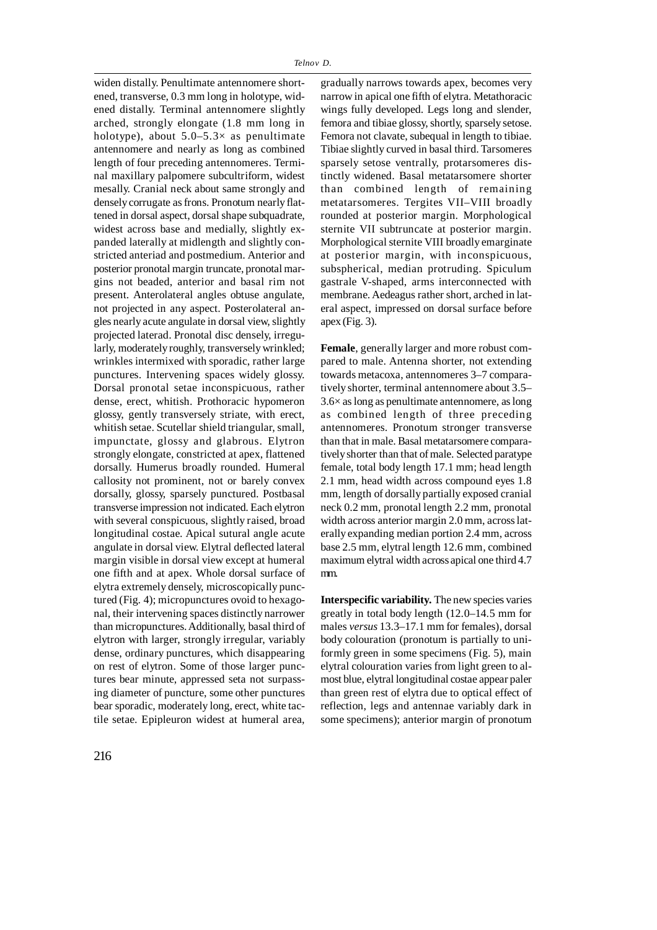apex (Fig. 3).

widen distally. Penultimate antennomere shortened, transverse, 0.3 mm long in holotype, widened distally. Terminal antennomere slightly arched, strongly elongate (1.8 mm long in holotype), about  $5.0-5.3\times$  as penultimate antennomere and nearly as long as combined length of four preceding antennomeres. Terminal maxillary palpomere subcultriform, widest mesally. Cranial neck about same strongly and densely corrugate as frons. Pronotum nearly flattened in dorsal aspect, dorsal shape subquadrate, widest across base and medially, slightly expanded laterally at midlength and slightly constricted anteriad and postmedium. Anterior and posterior pronotal margin truncate, pronotal margins not beaded, anterior and basal rim not present. Anterolateral angles obtuse angulate, not projected in any aspect. Posterolateral angles nearly acute angulate in dorsal view, slightly projected laterad. Pronotal disc densely, irregularly, moderately roughly, transversely wrinkled; wrinkles intermixed with sporadic, rather large punctures. Intervening spaces widely glossy. Dorsal pronotal setae inconspicuous, rather dense, erect, whitish. Prothoracic hypomeron glossy, gently transversely striate, with erect, whitish setae. Scutellar shield triangular, small, impunctate, glossy and glabrous. Elytron strongly elongate, constricted at apex, flattened dorsally. Humerus broadly rounded. Humeral callosity not prominent, not or barely convex dorsally, glossy, sparsely punctured. Postbasal transverse impression not indicated. Each elytron with several conspicuous, slightly raised, broad longitudinal costae. Apical sutural angle acute angulate in dorsal view. Elytral deflected lateral margin visible in dorsal view except at humeral one fifth and at apex. Whole dorsal surface of elytra extremely densely, microscopically punctured (Fig. 4); micropunctures ovoid to hexagonal, their intervening spaces distinctly narrower than micropunctures. Additionally, basal third of elytron with larger, strongly irregular, variably dense, ordinary punctures, which disappearing on rest of elytron. Some of those larger punctures bear minute, appressed seta not surpassing diameter of puncture, some other punctures bear sporadic, moderately long, erect, white tactile setae. Epipleuron widest at humeral area,

gradually narrows towards apex, becomes very narrow in apical one fifth of elytra. Metathoracic wings fully developed. Legs long and slender, femora and tibiae glossy, shortly, sparsely setose. Femora not clavate, subequal in length to tibiae. Tibiae slightly curved in basal third. Tarsomeres sparsely setose ventrally, protarsomeres distinctly widened. Basal metatarsomere shorter than combined length of remaining metatarsomeres. Tergites VII–VIII broadly rounded at posterior margin. Morphological sternite VII subtruncate at posterior margin. Morphological sternite VIII broadly emarginate at posterior margin, with inconspicuous, subspherical, median protruding. Spiculum gastrale V-shaped, arms interconnected with membrane. Aedeagus rather short, arched in lateral aspect, impressed on dorsal surface before

**Female**, generally larger and more robust compared to male. Antenna shorter, not extending towards metacoxa, antennomeres 3–7 comparatively shorter, terminal antennomere about 3.5–  $3.6\times$  as long as penultimate antennomere, as long as combined length of three preceding antennomeres. Pronotum stronger transverse than that in male. Basal metatarsomere comparatively shorter than that of male. Selected paratype female, total body length 17.1 mm; head length 2.1 mm, head width across compound eyes 1.8 mm, length of dorsally partially exposed cranial neck 0.2 mm, pronotal length 2.2 mm, pronotal width across anterior margin 2.0 mm, across laterally expanding median portion 2.4 mm, across base 2.5 mm, elytral length 12.6 mm, combined maximum elytral width across apical one third 4.7 mm.

**Interspecific variability.** The new species varies greatly in total body length (12.0–14.5 mm for males *versus* 13.3–17.1 mm for females), dorsal body colouration (pronotum is partially to uniformly green in some specimens (Fig. 5), main elytral colouration varies from light green to almost blue, elytral longitudinal costae appear paler than green rest of elytra due to optical effect of reflection, legs and antennae variably dark in some specimens); anterior margin of pronotum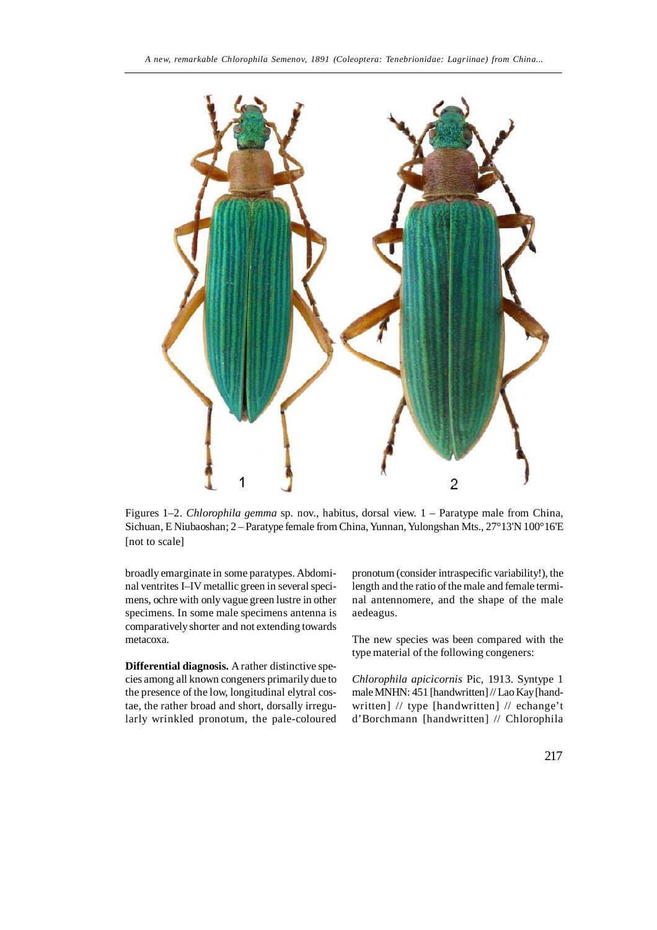

Figures 1–2. *Chlorophila gemma* sp. nov., habitus, dorsal view. 1 – Paratype male from China, Sichuan, E Niubaoshan; 2 – Paratype female from China, Yunnan, Yulongshan Mts., 27°13'N 100°16'E [not to scale]

broadly emarginate in some paratypes. Abdominal ventrites I–IV metallic green in several specimens, ochre with only vague green lustre in other specimens. In some male specimens antenna is comparatively shorter and not extending towards metacoxa.

**Differential diagnosis.** A rather distinctive species among all known congeners primarily due to the presence of the low, longitudinal elytral costae, the rather broad and short, dorsally irregularly wrinkled pronotum, the pale-coloured pronotum (consider intraspecific variability!), the length and the ratio of the male and female terminal antennomere, and the shape of the male aedeagus.

The new species was been compared with the type material of the following congeners:

*Chlorophila apicicornis* Pic, 1913. Syntype 1 male MNHN: 451 [handwritten] // Lao Kay [handwritten] // type [handwritten] // echange't d'Borchmann [handwritten] // Chlorophila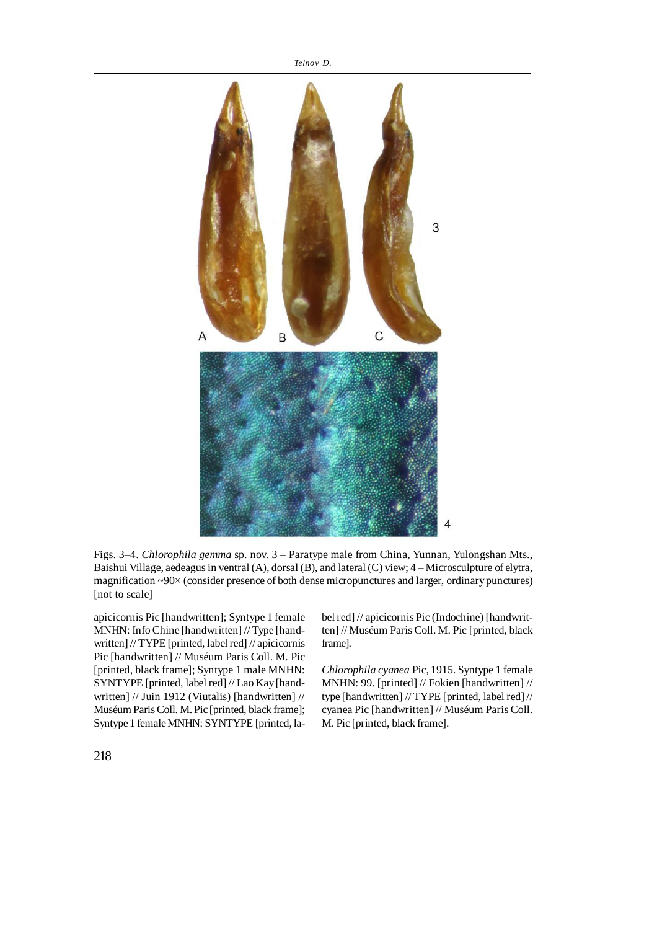

Figs. 3–4. *Chlorophila gemma* sp. nov. 3 – Paratype male from China, Yunnan, Yulongshan Mts., Baishui Village, aedeagus in ventral (A), dorsal (B), and lateral (C) view; 4 – Microsculpture of elytra, magnification ~90× (consider presence of both dense micropunctures and larger, ordinary punctures) [not to scale]

apicicornis Pic [handwritten]; Syntype 1 female MNHN: Info Chine [handwritten] // Type [handwritten] // TYPE [printed, label red] // apicicornis Pic [handwritten] // Muséum Paris Coll. M. Pic [printed, black frame]; Syntype 1 male MNHN: SYNTYPE [printed, label red] // Lao Kay [handwritten] // Juin 1912 (Viutalis) [handwritten] // Muséum Paris Coll. M. Pic [printed, black frame]; Syntype 1 female MNHN: SYNTYPE [printed, label red] // apicicornis Pic (Indochine) [handwritten] // Muséum Paris Coll. M. Pic [printed, black frame].

*Chlorophila cyanea* Pic, 1915. Syntype 1 female MNHN: 99. [printed] // Fokien [handwritten] // type [handwritten] // TYPE [printed, label red] // cyanea Pic [handwritten] // Muséum Paris Coll. M. Pic [printed, black frame].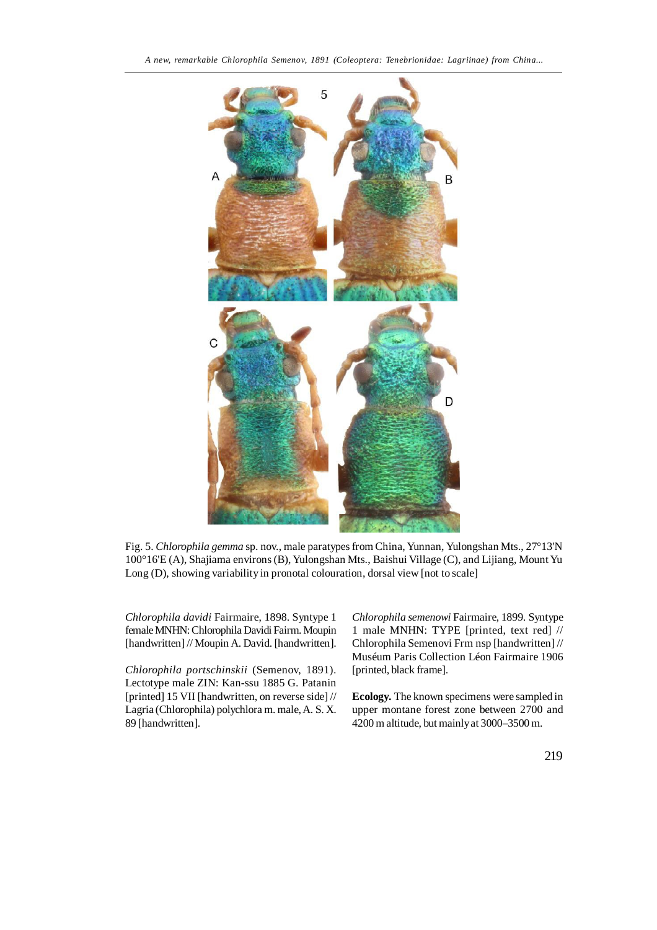

Fig. 5. *Chlorophila gemma* sp. nov., male paratypes from China, Yunnan, Yulongshan Mts., 27°13'N 100°16'E (A), Shajiama environs (B), Yulongshan Mts., Baishui Village (C), and Lijiang, Mount Yu Long (D), showing variability in pronotal colouration, dorsal view [not to scale]

*Chlorophila davidi* Fairmaire, 1898. Syntype 1 female MNHN: Chlorophila Davidi Fairm. Moupin [handwritten] // Moupin A. David. [handwritten].

*Chlorophila portschinskii* (Semenov, 1891). Lectotype male ZIN: Kan-ssu 1885 G. Patanin [printed] 15 VII [handwritten, on reverse side] // Lagria (Chlorophila) polychlora m. male, A. S. X. 89 [handwritten].

*Chlorophila semenowi* Fairmaire, 1899. Syntype 1 male MNHN: TYPE [printed, text red] // Chlorophila Semenovi Frm nsp [handwritten] // Muséum Paris Collection Léon Fairmaire 1906 [printed, black frame].

**Ecology.** The known specimens were sampled in upper montane forest zone between 2700 and 4200 m altitude, but mainly at 3000–3500 m.